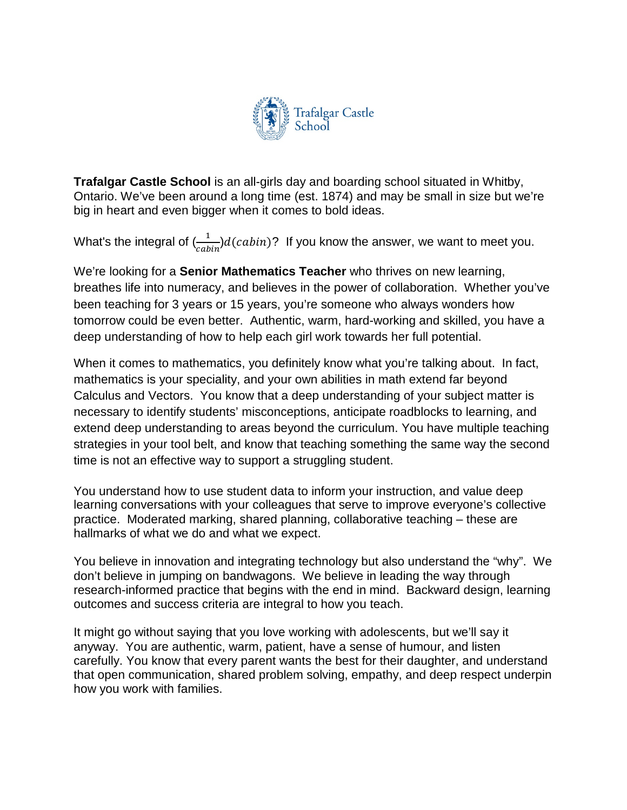

**Trafalgar Castle School** is an all-girls day and boarding school situated in Whitby, Ontario. We've been around a long time (est. 1874) and may be small in size but we're big in heart and even bigger when it comes to bold ideas.

What's the integral of  $\frac{1}{cabin}$ ) $d(cabin)$ ? If you know the answer, we want to meet you.

We're looking for a **Senior Mathematics Teacher** who thrives on new learning, breathes life into numeracy, and believes in the power of collaboration. Whether you've been teaching for 3 years or 15 years, you're someone who always wonders how tomorrow could be even better. Authentic, warm, hard-working and skilled, you have a deep understanding of how to help each girl work towards her full potential.

When it comes to mathematics, you definitely know what you're talking about. In fact, mathematics is your speciality, and your own abilities in math extend far beyond Calculus and Vectors. You know that a deep understanding of your subject matter is necessary to identify students' misconceptions, anticipate roadblocks to learning, and extend deep understanding to areas beyond the curriculum. You have multiple teaching strategies in your tool belt, and know that teaching something the same way the second time is not an effective way to support a struggling student.

You understand how to use student data to inform your instruction, and value deep learning conversations with your colleagues that serve to improve everyone's collective practice. Moderated marking, shared planning, collaborative teaching – these are hallmarks of what we do and what we expect.

You believe in innovation and integrating technology but also understand the "why". We don't believe in jumping on bandwagons. We believe in leading the way through research-informed practice that begins with the end in mind. Backward design, learning outcomes and success criteria are integral to how you teach.

It might go without saying that you love working with adolescents, but we'll say it anyway. You are authentic, warm, patient, have a sense of humour, and listen carefully. You know that every parent wants the best for their daughter, and understand that open communication, shared problem solving, empathy, and deep respect underpin how you work with families.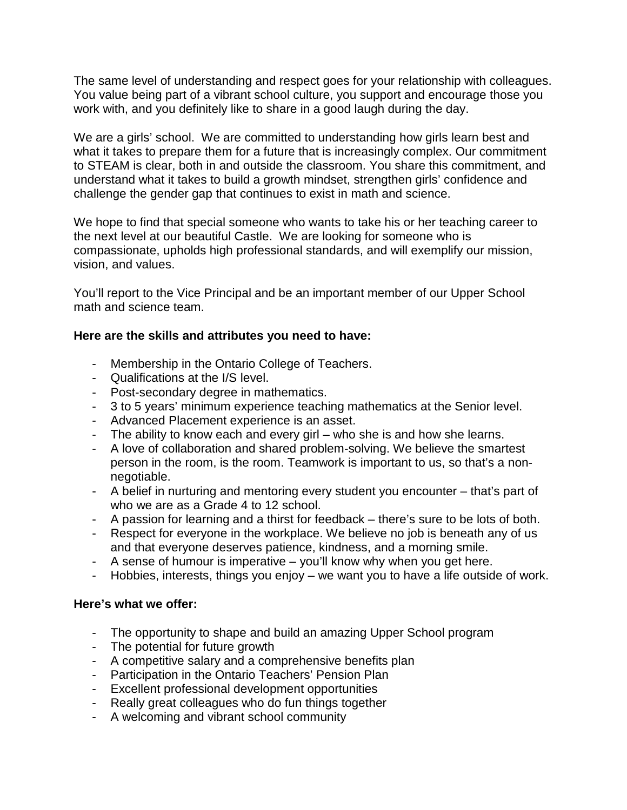The same level of understanding and respect goes for your relationship with colleagues. You value being part of a vibrant school culture, you support and encourage those you work with, and you definitely like to share in a good laugh during the day.

We are a girls' school. We are committed to understanding how girls learn best and what it takes to prepare them for a future that is increasingly complex. Our commitment to STEAM is clear, both in and outside the classroom. You share this commitment, and understand what it takes to build a growth mindset, strengthen girls' confidence and challenge the gender gap that continues to exist in math and science.

We hope to find that special someone who wants to take his or her teaching career to the next level at our beautiful Castle. We are looking for someone who is compassionate, upholds high professional standards, and will exemplify our mission, vision, and values.

You'll report to the Vice Principal and be an important member of our Upper School math and science team.

## **Here are the skills and attributes you need to have:**

- Membership in the Ontario College of Teachers.
- Qualifications at the I/S level.
- Post-secondary degree in mathematics.
- 3 to 5 years' minimum experience teaching mathematics at the Senior level.
- Advanced Placement experience is an asset.
- The ability to know each and every girl who she is and how she learns.
- A love of collaboration and shared problem-solving. We believe the smartest person in the room, is the room. Teamwork is important to us, so that's a nonnegotiable.
- A belief in nurturing and mentoring every student you encounter that's part of who we are as a Grade 4 to 12 school.
- A passion for learning and a thirst for feedback there's sure to be lots of both.
- Respect for everyone in the workplace. We believe no job is beneath any of us and that everyone deserves patience, kindness, and a morning smile.
- A sense of humour is imperative you'll know why when you get here.
- Hobbies, interests, things you enjoy we want you to have a life outside of work.

## **Here's what we offer:**

- The opportunity to shape and build an amazing Upper School program
- The potential for future growth
- A competitive salary and a comprehensive benefits plan
- Participation in the Ontario Teachers' Pension Plan
- Excellent professional development opportunities
- Really great colleagues who do fun things together
- A welcoming and vibrant school community